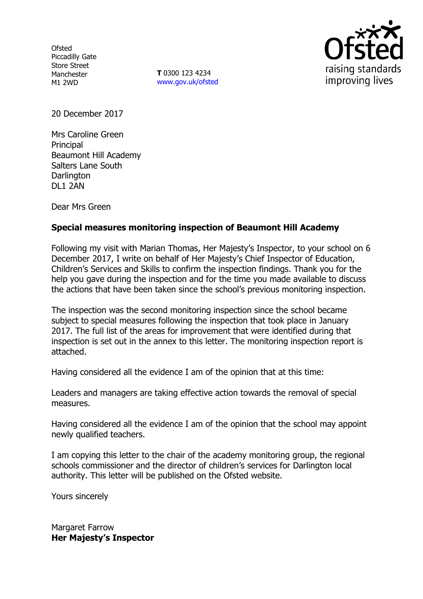**Ofsted** Piccadilly Gate Store Street Manchester M1 2WD

**T** 0300 123 4234 www.gov.uk/ofsted



20 December 2017

Mrs Caroline Green **Principal** Beaumont Hill Academy Salters Lane South **Darlington** DL1 2AN

Dear Mrs Green

# **Special measures monitoring inspection of Beaumont Hill Academy**

Following my visit with Marian Thomas, Her Majesty's Inspector, to your school on 6 December 2017, I write on behalf of Her Majesty's Chief Inspector of Education, Children's Services and Skills to confirm the inspection findings. Thank you for the help you gave during the inspection and for the time you made available to discuss the actions that have been taken since the school's previous monitoring inspection.

The inspection was the second monitoring inspection since the school became subject to special measures following the inspection that took place in January 2017. The full list of the areas for improvement that were identified during that inspection is set out in the annex to this letter. The monitoring inspection report is attached.

Having considered all the evidence I am of the opinion that at this time:

Leaders and managers are taking effective action towards the removal of special measures.

Having considered all the evidence I am of the opinion that the school may appoint newly qualified teachers.

I am copying this letter to the chair of the academy monitoring group, the regional schools commissioner and the director of children's services for Darlington local authority. This letter will be published on the Ofsted website.

Yours sincerely

Margaret Farrow **Her Majesty's Inspector**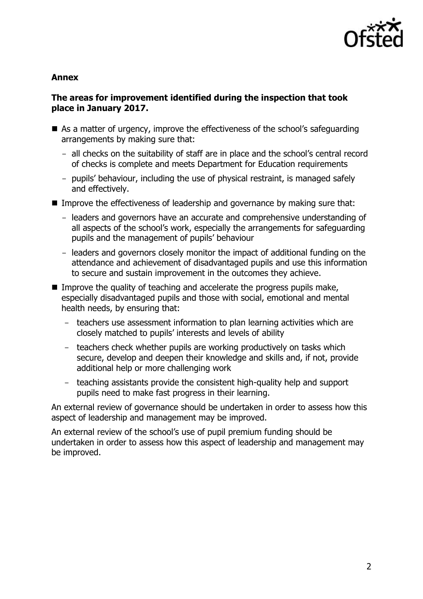

#### **Annex**

## **The areas for improvement identified during the inspection that took place in January 2017.**

- As a matter of urgency, improve the effectiveness of the school's safeguarding arrangements by making sure that:
	- all checks on the suitability of staff are in place and the school's central record of checks is complete and meets Department for Education requirements
	- pupils' behaviour, including the use of physical restraint, is managed safely and effectively.
- Improve the effectiveness of leadership and governance by making sure that:
	- leaders and governors have an accurate and comprehensive understanding of all aspects of the school's work, especially the arrangements for safeguarding pupils and the management of pupils' behaviour
	- leaders and governors closely monitor the impact of additional funding on the attendance and achievement of disadvantaged pupils and use this information to secure and sustain improvement in the outcomes they achieve.
- Improve the quality of teaching and accelerate the progress pupils make, especially disadvantaged pupils and those with social, emotional and mental health needs, by ensuring that:
	- teachers use assessment information to plan learning activities which are closely matched to pupils' interests and levels of ability
	- teachers check whether pupils are working productively on tasks which secure, develop and deepen their knowledge and skills and, if not, provide additional help or more challenging work
	- teaching assistants provide the consistent high-quality help and support pupils need to make fast progress in their learning.

An external review of governance should be undertaken in order to assess how this aspect of leadership and management may be improved.

An external review of the school's use of pupil premium funding should be undertaken in order to assess how this aspect of leadership and management may be improved.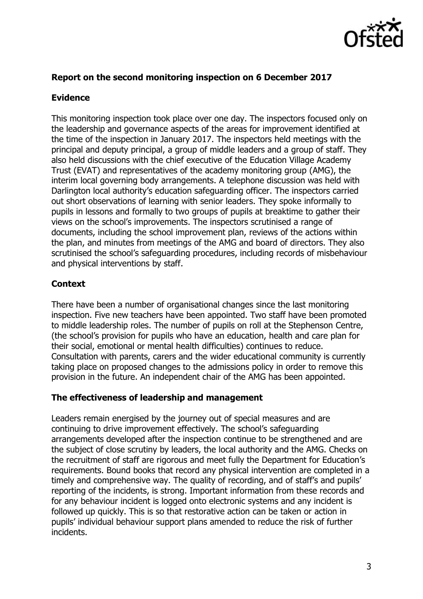

## **Report on the second monitoring inspection on 6 December 2017**

#### **Evidence**

This monitoring inspection took place over one day. The inspectors focused only on the leadership and governance aspects of the areas for improvement identified at the time of the inspection in January 2017. The inspectors held meetings with the principal and deputy principal, a group of middle leaders and a group of staff. They also held discussions with the chief executive of the Education Village Academy Trust (EVAT) and representatives of the academy monitoring group (AMG), the interim local governing body arrangements. A telephone discussion was held with Darlington local authority's education safeguarding officer. The inspectors carried out short observations of learning with senior leaders. They spoke informally to pupils in lessons and formally to two groups of pupils at breaktime to gather their views on the school's improvements. The inspectors scrutinised a range of documents, including the school improvement plan, reviews of the actions within the plan, and minutes from meetings of the AMG and board of directors. They also scrutinised the school's safeguarding procedures, including records of misbehaviour and physical interventions by staff.

# **Context**

There have been a number of organisational changes since the last monitoring inspection. Five new teachers have been appointed. Two staff have been promoted to middle leadership roles. The number of pupils on roll at the Stephenson Centre, (the school's provision for pupils who have an education, health and care plan for their social, emotional or mental health difficulties) continues to reduce. Consultation with parents, carers and the wider educational community is currently taking place on proposed changes to the admissions policy in order to remove this provision in the future. An independent chair of the AMG has been appointed.

#### **The effectiveness of leadership and management**

Leaders remain energised by the journey out of special measures and are continuing to drive improvement effectively. The school's safeguarding arrangements developed after the inspection continue to be strengthened and are the subject of close scrutiny by leaders, the local authority and the AMG. Checks on the recruitment of staff are rigorous and meet fully the Department for Education's requirements. Bound books that record any physical intervention are completed in a timely and comprehensive way. The quality of recording, and of staff's and pupils' reporting of the incidents, is strong. Important information from these records and for any behaviour incident is logged onto electronic systems and any incident is followed up quickly. This is so that restorative action can be taken or action in pupils' individual behaviour support plans amended to reduce the risk of further incidents.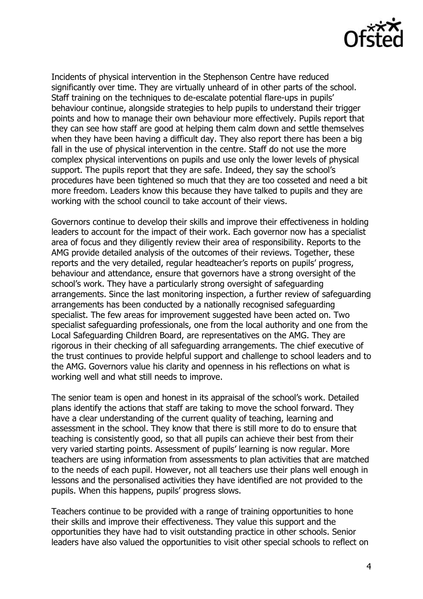

Incidents of physical intervention in the Stephenson Centre have reduced significantly over time. They are virtually unheard of in other parts of the school. Staff training on the techniques to de-escalate potential flare-ups in pupils' behaviour continue, alongside strategies to help pupils to understand their trigger points and how to manage their own behaviour more effectively. Pupils report that they can see how staff are good at helping them calm down and settle themselves when they have been having a difficult day. They also report there has been a big fall in the use of physical intervention in the centre. Staff do not use the more complex physical interventions on pupils and use only the lower levels of physical support. The pupils report that they are safe. Indeed, they say the school's procedures have been tightened so much that they are too cosseted and need a bit more freedom. Leaders know this because they have talked to pupils and they are working with the school council to take account of their views.

Governors continue to develop their skills and improve their effectiveness in holding leaders to account for the impact of their work. Each governor now has a specialist area of focus and they diligently review their area of responsibility. Reports to the AMG provide detailed analysis of the outcomes of their reviews. Together, these reports and the very detailed, regular headteacher's reports on pupils' progress, behaviour and attendance, ensure that governors have a strong oversight of the school's work. They have a particularly strong oversight of safeguarding arrangements. Since the last monitoring inspection, a further review of safeguarding arrangements has been conducted by a nationally recognised safeguarding specialist. The few areas for improvement suggested have been acted on. Two specialist safeguarding professionals, one from the local authority and one from the Local Safeguarding Children Board, are representatives on the AMG. They are rigorous in their checking of all safeguarding arrangements. The chief executive of the trust continues to provide helpful support and challenge to school leaders and to the AMG. Governors value his clarity and openness in his reflections on what is working well and what still needs to improve.

The senior team is open and honest in its appraisal of the school's work. Detailed plans identify the actions that staff are taking to move the school forward. They have a clear understanding of the current quality of teaching, learning and assessment in the school. They know that there is still more to do to ensure that teaching is consistently good, so that all pupils can achieve their best from their very varied starting points. Assessment of pupils' learning is now regular. More teachers are using information from assessments to plan activities that are matched to the needs of each pupil. However, not all teachers use their plans well enough in lessons and the personalised activities they have identified are not provided to the pupils. When this happens, pupils' progress slows.

Teachers continue to be provided with a range of training opportunities to hone their skills and improve their effectiveness. They value this support and the opportunities they have had to visit outstanding practice in other schools. Senior leaders have also valued the opportunities to visit other special schools to reflect on